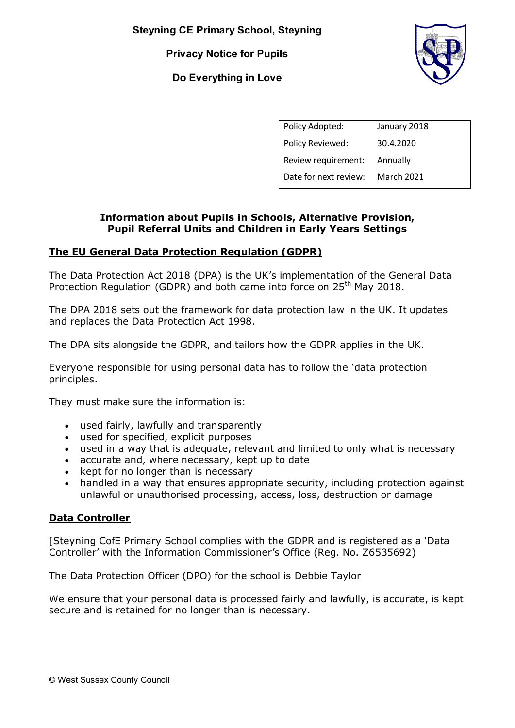**Steyning CE Primary School, Steyning** 

**Privacy Notice for Pupils** 

**Do Everything in Love** 



| Policy Adopted:              | January 2018      |
|------------------------------|-------------------|
| Policy Reviewed:             | 30.4.2020         |
| Review requirement: Annually |                   |
| Date for next review:        | <b>March 2021</b> |

### **Information about Pupils in Schools, Alternative Provision, Pupil Referral Units and Children in Early Years Settings**

# **The EU General Data Protection Regulation (GDPR)**

The Data Protection Act 2018 (DPA) is the UK's implementation of the General Data Protection Regulation (GDPR) and both came into force on 25<sup>th</sup> May 2018.

The DPA 2018 sets out the framework for data protection law in the UK. It updates and replaces the Data Protection Act 1998.

The DPA sits alongside the GDPR, and tailors how the GDPR applies in the UK.

Everyone responsible for using personal data has to follow the 'data protection principles.

They must make sure the information is:

- used fairly, lawfully and transparently
- used for specified, explicit purposes
- used in a way that is adequate, relevant and limited to only what is necessary
- accurate and, where necessary, kept up to date
- kept for no longer than is necessary
- handled in a way that ensures appropriate security, including protection against unlawful or unauthorised processing, access, loss, destruction or damage

### **Data Controller**

[Steyning CofE Primary School complies with the GDPR and is registered as a 'Data Controller' with the Information Commissioner's Office (Reg. No. Z6535692)

The Data Protection Officer (DPO) for the school is Debbie Taylor

We ensure that your personal data is processed fairly and lawfully, is accurate, is kept secure and is retained for no longer than is necessary.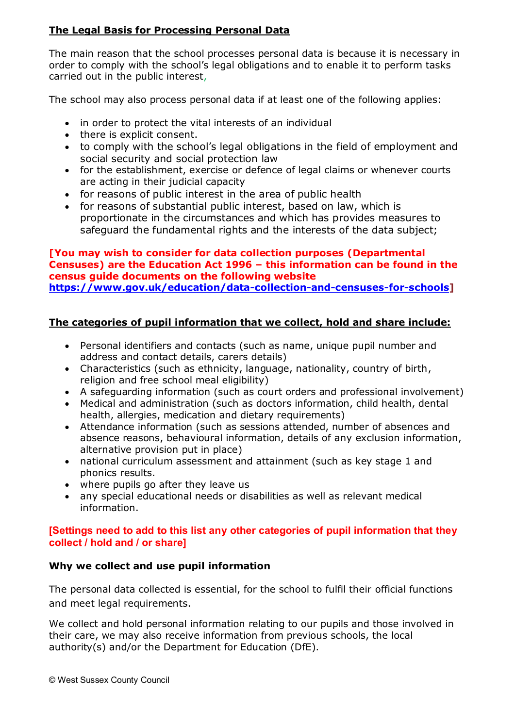# **The Legal Basis for Processing Personal Data**

The main reason that the school processes personal data is because it is necessary in order to comply with the school's legal obligations and to enable it to perform tasks carried out in the public interest,

The school may also process personal data if at least one of the following applies:

- in order to protect the vital interests of an individual
- there is explicit consent.
- to comply with the school's legal obligations in the field of employment and social security and social protection law
- for the establishment, exercise or defence of legal claims or whenever courts are acting in their judicial capacity
- for reasons of public interest in the area of public health
- for reasons of substantial public interest, based on law, which is proportionate in the circumstances and which has provides measures to safeguard the fundamental rights and the interests of the data subject;

#### **[You may wish to consider for data collection purposes (Departmental Censuses) are the Education Act 1996 – this information can be found in the census guide documents on the following website [https://www.gov.uk/education/data-collection-and-censuses-for-schools\]](https://www.gov.uk/education/data-collection-and-censuses-for-schools)**

# **The categories of pupil information that we collect, hold and share include:**

- Personal identifiers and contacts (such as name, unique pupil number and address and contact details, carers details)
- Characteristics (such as ethnicity, language, nationality, country of birth, religion and free school meal eligibility)
- A safeguarding information (such as court orders and professional involvement)
- Medical and administration (such as doctors information, child health, dental health, allergies, medication and dietary requirements)
- Attendance information (such as sessions attended, number of absences and absence reasons, behavioural information, details of any exclusion information, alternative provision put in place)
- national curriculum assessment and attainment (such as key stage 1 and phonics results.
- where pupils go after they leave us
- any special educational needs or disabilities as well as relevant medical information.

### **[Settings need to add to this list any other categories of pupil information that they collect / hold and / or share]**

# **Why we collect and use pupil information**

The personal data collected is essential, for the school to fulfil their official functions and meet legal requirements.

We collect and hold personal information relating to our pupils and those involved in their care, we may also receive information from previous schools, the local authority(s) and/or the Department for Education (DfE).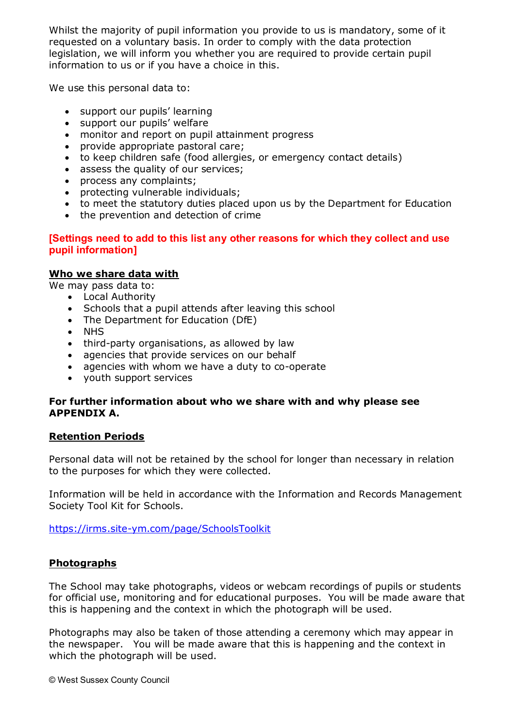Whilst the majority of pupil information you provide to us is mandatory, some of it requested on a voluntary basis. In order to comply with the data protection legislation, we will inform you whether you are required to provide certain pupil information to us or if you have a choice in this.

We use this personal data to:

- support our pupils' learning
- support our pupils' welfare
- monitor and report on pupil attainment progress
- provide appropriate pastoral care;
- to keep children safe (food allergies, or emergency contact details)
- assess the quality of our services;
- process any complaints;
- protecting vulnerable individuals;
- to meet the statutory duties placed upon us by the Department for Education
- the prevention and detection of crime

### **[Settings need to add to this list any other reasons for which they collect and use pupil information]**

### **Who we share data with**

We may pass data to:

- Local Authority
- Schools that a pupil attends after leaving this school
- The Department for Education (DfE)
- NHS
- third-party organisations, as allowed by law
- agencies that provide services on our behalf
- agencies with whom we have a duty to co-operate
- youth support services

### **For further information about who we share with and why please see APPENDIX A.**

### **Retention Periods**

Personal data will not be retained by the school for longer than necessary in relation to the purposes for which they were collected.

Information will be held in accordance with the Information and Records Management Society Tool Kit for Schools.

<https://irms.site-ym.com/page/SchoolsToolkit>

### **Photographs**

The School may take photographs, videos or webcam recordings of pupils or students for official use, monitoring and for educational purposes. You will be made aware that this is happening and the context in which the photograph will be used.

Photographs may also be taken of those attending a ceremony which may appear in the newspaper. You will be made aware that this is happening and the context in which the photograph will be used.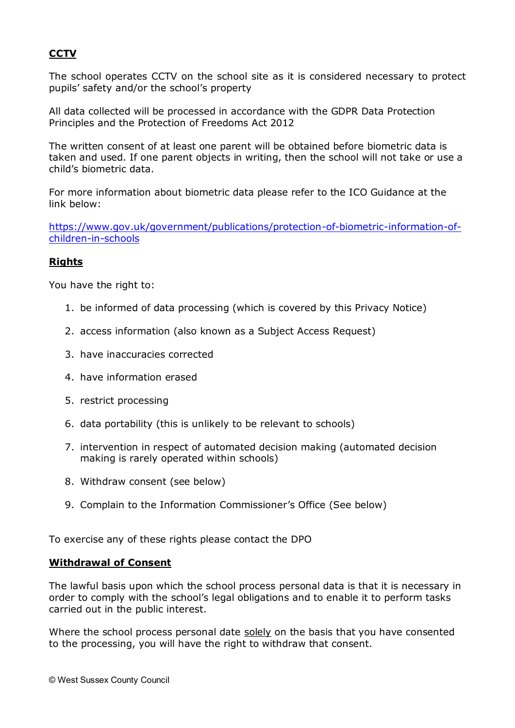### **CCTV**

The school operates CCTV on the school site as it is considered necessary to protect pupils' safety and/or the school's property

All data collected will be processed in accordance with the GDPR Data Protection Principles and the Protection of Freedoms Act 2012

The written consent of at least one parent will be obtained before biometric data is taken and used. If one parent objects in writing, then the school will not take or use a child's biometric data.

For more information about biometric data please refer to the ICO Guidance at the link below:

[https://www.gov.uk/government/publications/protection-of-biometric-information-of](https://www.gov.uk/government/publications/protection-of-biometric-information-of-children-in-schools)[children-in-schools](https://www.gov.uk/government/publications/protection-of-biometric-information-of-children-in-schools)

### **Rights**

You have the right to:

- 1. be informed of data processing (which is covered by this Privacy Notice)
- 2. access information (also known as a Subject Access Request)
- 3. have inaccuracies corrected
- 4. have information erased
- 5. restrict processing
- 6. data portability (this is unlikely to be relevant to schools)
- 7. intervention in respect of automated decision making (automated decision making is rarely operated within schools)
- 8. Withdraw consent (see below)
- 9. Complain to the Information Commissioner's Office (See below)

To exercise any of these rights please contact the DPO

#### **Withdrawal of Consent**

The lawful basis upon which the school process personal data is that it is necessary in order to comply with the school's legal obligations and to enable it to perform tasks carried out in the public interest.

Where the school process personal date solely on the basis that you have consented to the processing, you will have the right to withdraw that consent.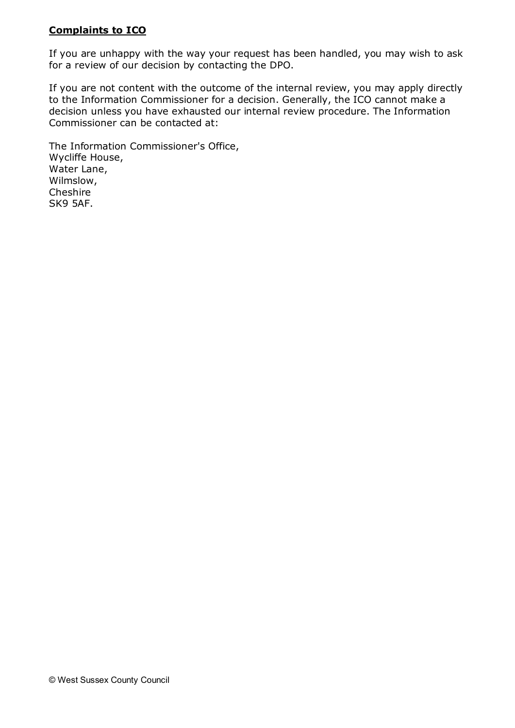### **Complaints to ICO**

If you are unhappy with the way your request has been handled, you may wish to ask for a review of our decision by contacting the DPO.

If you are not content with the outcome of the internal review, you may apply directly to the Information Commissioner for a decision. Generally, the ICO cannot make a decision unless you have exhausted our internal review procedure. The Information Commissioner can be contacted at:

The Information Commissioner's Office, Wycliffe House, Water Lane, Wilmslow, Cheshire SK9 5AF.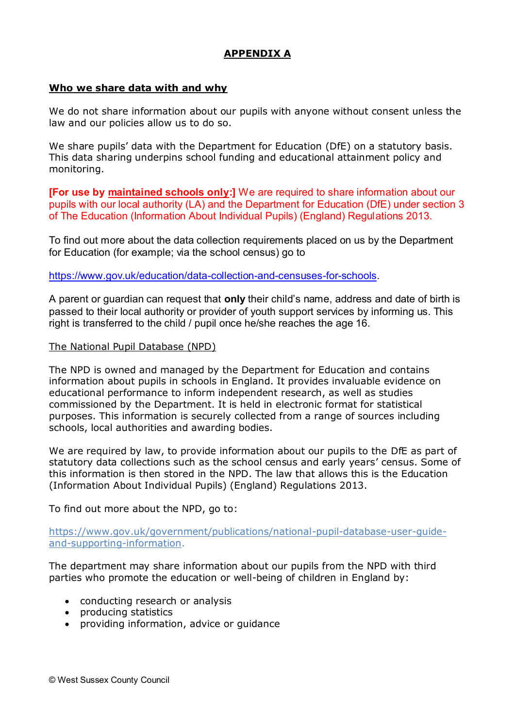# **APPENDIX A**

#### **Who we share data with and why**

We do not share information about our pupils with anyone without consent unless the law and our policies allow us to do so.

We share pupils' data with the Department for Education (DfE) on a statutory basis. This data sharing underpins school funding and educational attainment policy and monitoring.

**[For use by maintained schools only:]** We are required to share information about our pupils with our local authority (LA) and the Department for Education (DfE) under section 3 of The Education (Information About Individual Pupils) (England) Regulations 2013.

To find out more about the data collection requirements placed on us by the Department for Education (for example; via the school census) go to

[https://www.gov.uk/education/data-collection-and-censuses-for-schools.](https://www.gov.uk/education/data-collection-and-censuses-for-schools)

A parent or guardian can request that **only** their child's name, address and date of birth is passed to their local authority or provider of youth support services by informing us. This right is transferred to the child / pupil once he/she reaches the age 16.

#### The National Pupil Database (NPD)

The NPD is owned and managed by the Department for Education and contains information about pupils in schools in England. It provides invaluable evidence on educational performance to inform independent research, as well as studies commissioned by the Department. It is held in electronic format for statistical purposes. This information is securely collected from a range of sources including schools, local authorities and awarding bodies.

We are required by law, to provide information about our pupils to the DfE as part of statutory data collections such as the school census and early years' census. Some of this information is then stored in the NPD. The law that allows this is the Education (Information About Individual Pupils) (England) Regulations 2013.

To find out more about the NPD, go to:

[https://www.gov.uk/government/publications/national-pupil-database-user-guide](https://www.gov.uk/government/publications/national-pupil-database-user-guide-and-supporting-information)[and-supporting-information.](https://www.gov.uk/government/publications/national-pupil-database-user-guide-and-supporting-information)

The department may share information about our pupils from the NPD with third parties who promote the education or well-being of children in England by:

- conducting research or analysis
- producing statistics
- providing information, advice or guidance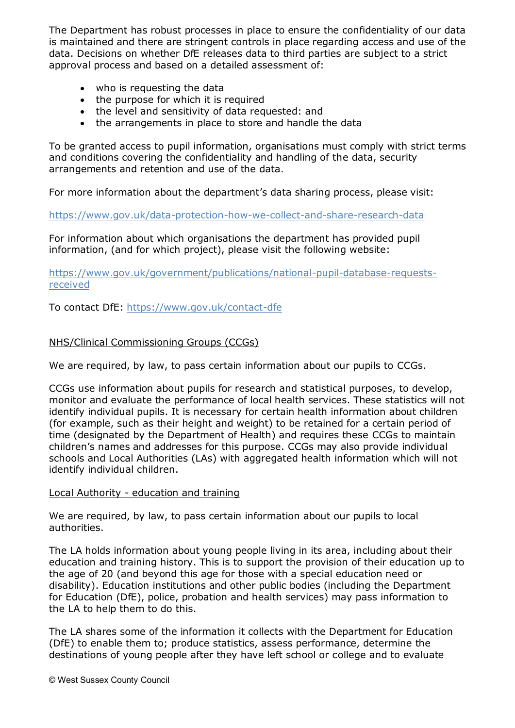The Department has robust processes in place to ensure the confidentiality of our data is maintained and there are stringent controls in place regarding access and use of the data. Decisions on whether DfE releases data to third parties are subject to a strict approval process and based on a detailed assessment of:

- who is requesting the data
- the purpose for which it is required
- the level and sensitivity of data requested: and
- the arrangements in place to store and handle the data

To be granted access to pupil information, organisations must comply with strict terms and conditions covering the confidentiality and handling of the data, security arrangements and retention and use of the data.

For more information about the department's data sharing process, please visit:

<https://www.gov.uk/data-protection-how-we-collect-and-share-research-data>

For information about which organisations the department has provided pupil information, (and for which project), please visit the following website:

[https://www.gov.uk/government/publications/national-pupil-database-requests](https://www.gov.uk/government/publications/national-pupil-database-requests-received)[received](https://www.gov.uk/government/publications/national-pupil-database-requests-received) 

To contact DfE:<https://www.gov.uk/contact-dfe>

### NHS/Clinical Commissioning Groups (CCGs)

We are required, by law, to pass certain information about our pupils to CCGs.

CCGs use information about pupils for research and statistical purposes, to develop, monitor and evaluate the performance of local health services. These statistics will not identify individual pupils. It is necessary for certain health information about children (for example, such as their height and weight) to be retained for a certain period of time (designated by the Department of Health) and requires these CCGs to maintain children's names and addresses for this purpose. CCGs may also provide individual schools and Local Authorities (LAs) with aggregated health information which will not identify individual children.

### Local Authority - education and training

We are required, by law, to pass certain information about our pupils to local authorities.

The LA holds information about young people living in its area, including about their education and training history. This is to support the provision of their education up to the age of 20 (and beyond this age for those with a special education need or disability). Education institutions and other public bodies (including the Department for Education (DfE), police, probation and health services) may pass information to the LA to help them to do this.

The LA shares some of the information it collects with the Department for Education (DfE) to enable them to; produce statistics, assess performance, determine the destinations of young people after they have left school or college and to evaluate